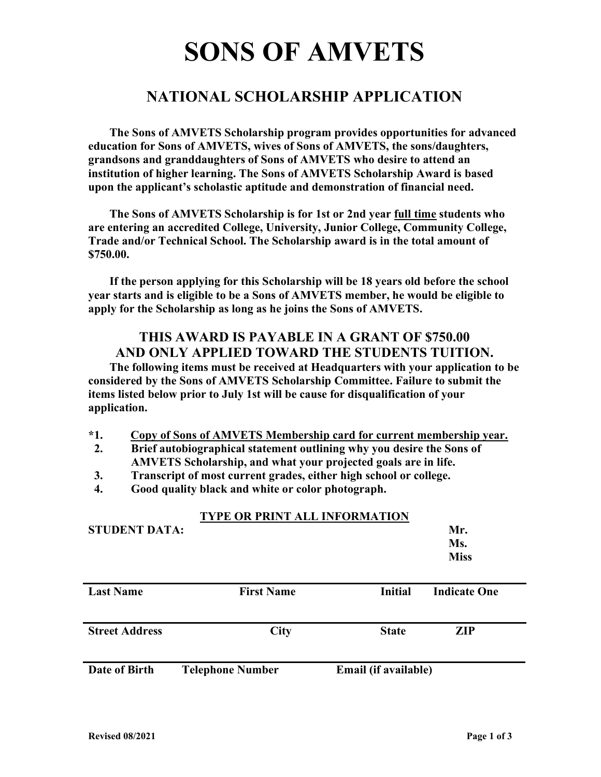# SONS OF AMVETS

## NATIONAL SCHOLARSHIP APPLICATION

 The Sons of AMVETS Scholarship program provides opportunities for advanced education for Sons of AMVETS, wives of Sons of AMVETS, the sons/daughters, grandsons and granddaughters of Sons of AMVETS who desire to attend an institution of higher learning. The Sons of AMVETS Scholarship Award is based upon the applicant's scholastic aptitude and demonstration of financial need.

 The Sons of AMVETS Scholarship is for 1st or 2nd year full time students who are entering an accredited College, University, Junior College, Community College, Trade and/or Technical School. The Scholarship award is in the total amount of \$750.00.

 If the person applying for this Scholarship will be 18 years old before the school year starts and is eligible to be a Sons of AMVETS member, he would be eligible to apply for the Scholarship as long as he joins the Sons of AMVETS.

## THIS AWARD IS PAYABLE IN A GRANT OF \$750.00 AND ONLY APPLIED TOWARD THE STUDENTS TUITION.

 The following items must be received at Headquarters with your application to be considered by the Sons of AMVETS Scholarship Committee. Failure to submit the items listed below prior to July 1st will be cause for disqualification of your application.

- \*1. Copy of Sons of AMVETS Membership card for current membership year.
- 2. Brief autobiographical statement outlining why you desire the Sons of AMVETS Scholarship, and what your projected goals are in life.
- 3. Transcript of most current grades, either high school or college.
- 4. Good quality black and white or color photograph.

| <b>STUDENT DATA:</b>  | <b>TYPE OR PRINT ALL INFORMATION</b> |                      | Mr.<br>Ms.<br><b>Miss</b> |
|-----------------------|--------------------------------------|----------------------|---------------------------|
| <b>Last Name</b>      | <b>First Name</b>                    | <b>Initial</b>       | <b>Indicate One</b>       |
| <b>Street Address</b> | <b>City</b>                          | <b>State</b>         | <b>ZIP</b>                |
| Date of Birth         | <b>Telephone Number</b>              | Email (if available) |                           |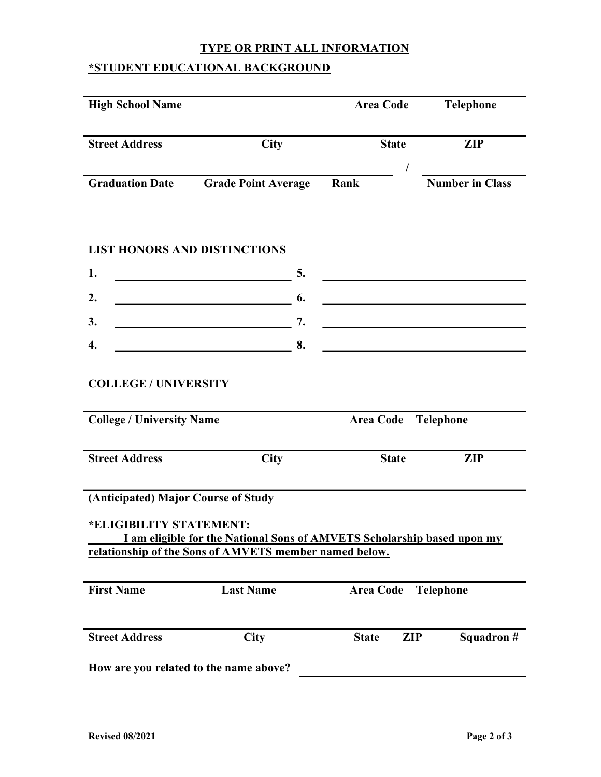### TYPE OR PRINT ALL INFORMATION

## \*STUDENT EDUCATIONAL BACKGROUND

| <b>High School Name</b>                                         |                                                                                                                                   | <b>Area Code</b>           | Telephone              |
|-----------------------------------------------------------------|-----------------------------------------------------------------------------------------------------------------------------------|----------------------------|------------------------|
| <b>Street Address</b>                                           | <b>City</b>                                                                                                                       | <b>State</b>               | <b>ZIP</b>             |
| <b>Graduation Date</b>                                          | <b>Grade Point Average</b>                                                                                                        | Rank                       | <b>Number in Class</b> |
| <b>LIST HONORS AND DISTINCTIONS</b>                             |                                                                                                                                   |                            |                        |
| 1.                                                              | 5.                                                                                                                                |                            |                        |
| 2.                                                              | 6.                                                                                                                                |                            |                        |
| 3.                                                              | 7.                                                                                                                                |                            |                        |
| $\overline{4}$ .                                                | 8.                                                                                                                                |                            |                        |
| <b>COLLEGE / UNIVERSITY</b><br><b>College / University Name</b> |                                                                                                                                   | <b>Area Code</b>           | <b>Telephone</b>       |
| <b>Street Address</b>                                           | City                                                                                                                              | <b>State</b>               | <b>ZIP</b>             |
| (Anticipated) Major Course of Study<br>*ELIGIBILITY STATEMENT:  | I am eligible for the National Sons of AMVETS Scholarship based upon my<br>relationship of the Sons of AMVETS member named below. |                            |                        |
| <b>First Name</b>                                               | <b>Last Name</b>                                                                                                                  | <b>Area Code</b>           | <b>Telephone</b>       |
| <b>Street Address</b>                                           | <b>City</b>                                                                                                                       | <b>ZIP</b><br><b>State</b> | Squadron #             |
| How are you related to the name above?                          |                                                                                                                                   |                            |                        |